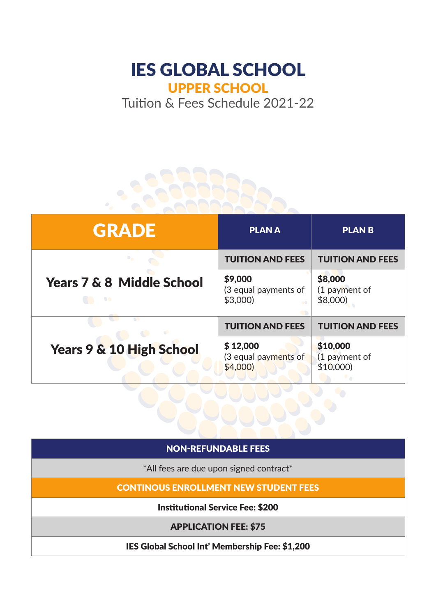## IES GLOBAL SCHOOL UPPER SCHOOL

Tuition & Fees Schedule 2021-22



## NON-REFUNDABLE FEES

\*All fees are due upon signed contract\*

CONTINOUS ENROLLMENT NEW STUDENT FEES

Institutional Service Fee: \$200

APPLICATION FEE: \$75

IES Global School Int' Membership Fee: \$1,200